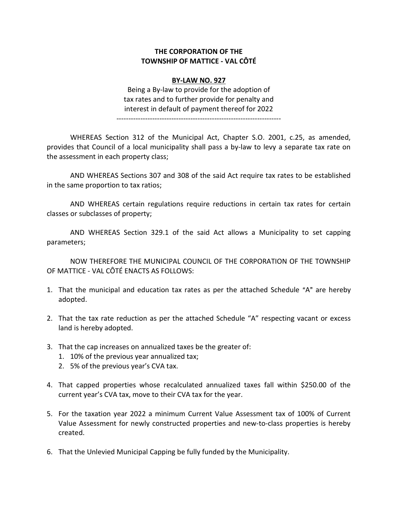## THE CORPORATION OF THE TOWNSHIP OF MATTICE - VAL CÔTÉ

## BY-LAW NO. 927

Being a By-law to provide for the adoption of tax rates and to further provide for penalty and interest in default of payment thereof for 2022

---------------------------------------------------------------------

WHEREAS Section 312 of the Municipal Act, Chapter S.O. 2001, c.25, as amended, provides that Council of a local municipality shall pass a by-law to levy a separate tax rate on the assessment in each property class;

AND WHEREAS Sections 307 and 308 of the said Act require tax rates to be established in the same proportion to tax ratios;

AND WHEREAS certain regulations require reductions in certain tax rates for certain classes or subclasses of property;

AND WHEREAS Section 329.1 of the said Act allows a Municipality to set capping parameters;

NOW THEREFORE THE MUNICIPAL COUNCIL OF THE CORPORATION OF THE TOWNSHIP OF MATTICE - VAL CÔTÉ ENACTS AS FOLLOWS:

- 1. That the municipal and education tax rates as per the attached Schedule "A" are hereby adopted.
- 2. That the tax rate reduction as per the attached Schedule "A" respecting vacant or excess land is hereby adopted.
- 3. That the cap increases on annualized taxes be the greater of:
	- 1. 10% of the previous year annualized tax;
	- 2. 5% of the previous year's CVA tax.
- 4. That capped properties whose recalculated annualized taxes fall within \$250.00 of the current year's CVA tax, move to their CVA tax for the year.
- 5. For the taxation year 2022 a minimum Current Value Assessment tax of 100% of Current Value Assessment for newly constructed properties and new-to-class properties is hereby created.
- 6. That the Unlevied Municipal Capping be fully funded by the Municipality.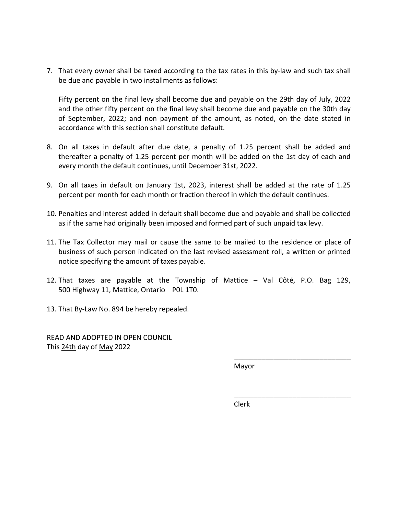7. That every owner shall be taxed according to the tax rates in this by-law and such tax shall be due and payable in two installments as follows:

Fifty percent on the final levy shall become due and payable on the 29th day of July, 2022 and the other fifty percent on the final levy shall become due and payable on the 30th day of September, 2022; and non payment of the amount, as noted, on the date stated in accordance with this section shall constitute default.

- 8. On all taxes in default after due date, a penalty of 1.25 percent shall be added and thereafter a penalty of 1.25 percent per month will be added on the 1st day of each and every month the default continues, until December 31st, 2022.
- 9. On all taxes in default on January 1st, 2023, interest shall be added at the rate of 1.25 percent per month for each month or fraction thereof in which the default continues.
- 10. Penalties and interest added in default shall become due and payable and shall be collected as if the same had originally been imposed and formed part of such unpaid tax levy.
- 11. The Tax Collector may mail or cause the same to be mailed to the residence or place of business of such person indicated on the last revised assessment roll, a written or printed notice specifying the amount of taxes payable.
- 12. That taxes are payable at the Township of Mattice Val Côté, P.O. Bag 129, 500 Highway 11, Mattice, Ontario P0L 1T0.
- 13. That By-Law No. 894 be hereby repealed.

READ AND ADOPTED IN OPEN COUNCIL This 24th day of May 2022

Mayor

\_\_\_\_\_\_\_\_\_\_\_\_\_\_\_\_\_\_\_\_\_\_\_\_\_\_\_\_\_\_

\_\_\_\_\_\_\_\_\_\_\_\_\_\_\_\_\_\_\_\_\_\_\_\_\_\_\_\_\_\_

**Clerk** (1999) and the control of the control of the control of the control of the control of the control of the control of the control of the control of the control of the control of the control of the control of the cont